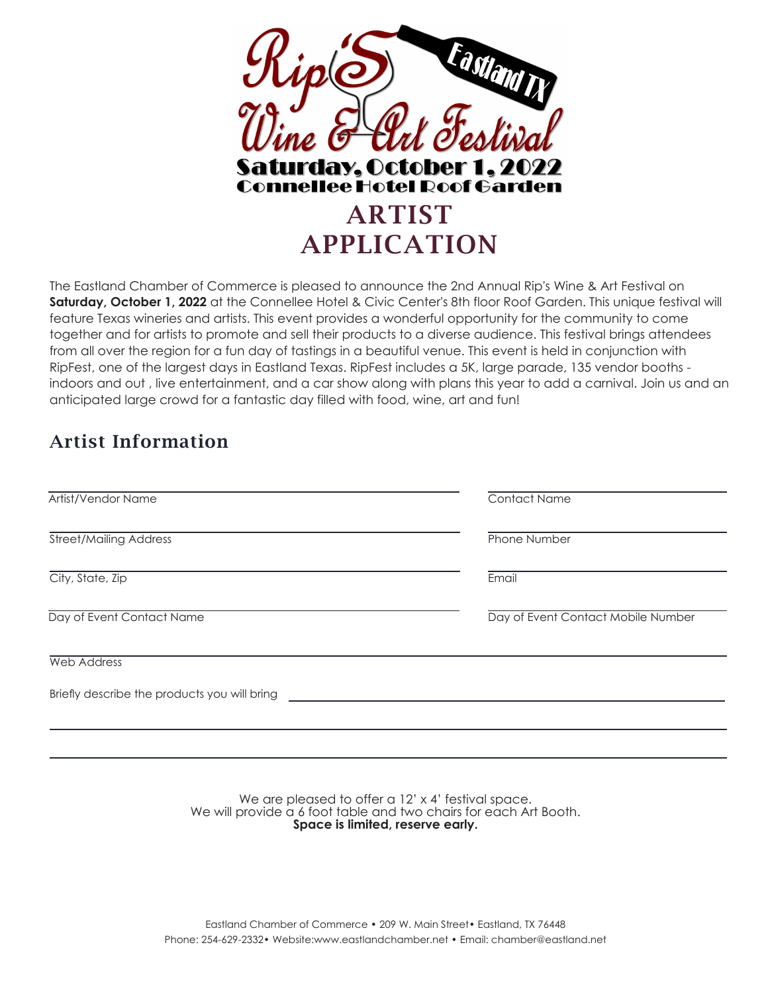

The Eastland Chamber of Commerce is pleased to announce the 2nd Annual Rip's Wine & Art Festival on **Saturday, October 1, 2022** at the Connellee Hotel & Civic Center's 8th floor Roof Garden. This unique festival will feature Texas wineries and artists. This event provides a wonderful opportunity for the community to come together and for artists to promote and sell their products to a diverse audience. This festival brings attendees from all over the region for a fun day of tastings in a beautiful venue. This event is held in conjunction with RipFest, one of the largest days in Eastland Texas. RipFest includes a 5K, large parade, 135 vendor booths indoors and out , live entertainment, and a car show along with plans this year to add a carnival. Join us and an anticipated large crowd for a fantastic day filled with food, wine, art and fun!

## Artist Information

| Artist/Vendor Name                           | Contact Name                       |
|----------------------------------------------|------------------------------------|
| Street/Mailing Address                       | Phone Number                       |
| City, State, Zip                             | Email                              |
| Day of Event Contact Name                    | Day of Event Contact Mobile Number |
| <b>Web Address</b>                           |                                    |
| Briefly describe the products you will bring |                                    |
|                                              |                                    |

We are pleased to offer a 12' x 4' festival space. We will provide a 6 foot table and two chairs for each Art Booth. **Space is limited, reserve early.**